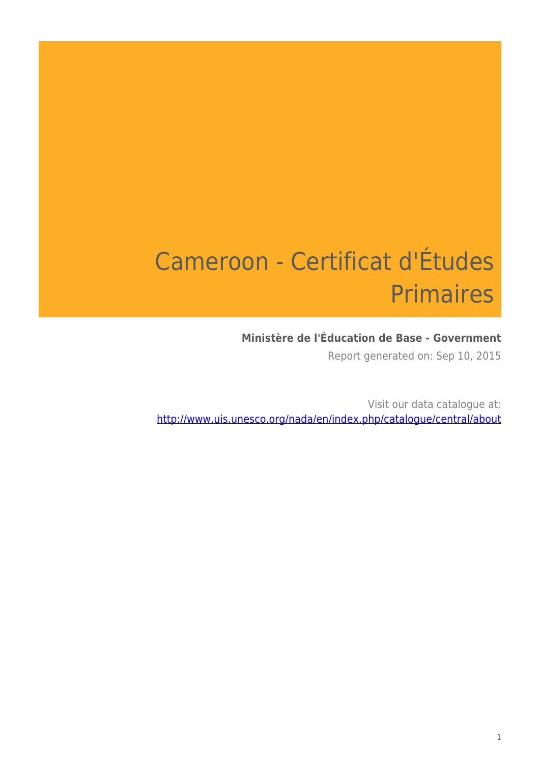# Cameroon - Certificat d'Études **Primaires**

### **Ministère de l'Éducation de Base - Government**

Report generated on: Sep 10, 2015

Visit our data catalogue at: http://www.uis.unesco.org/nada/en/index.php/catalogue/central/about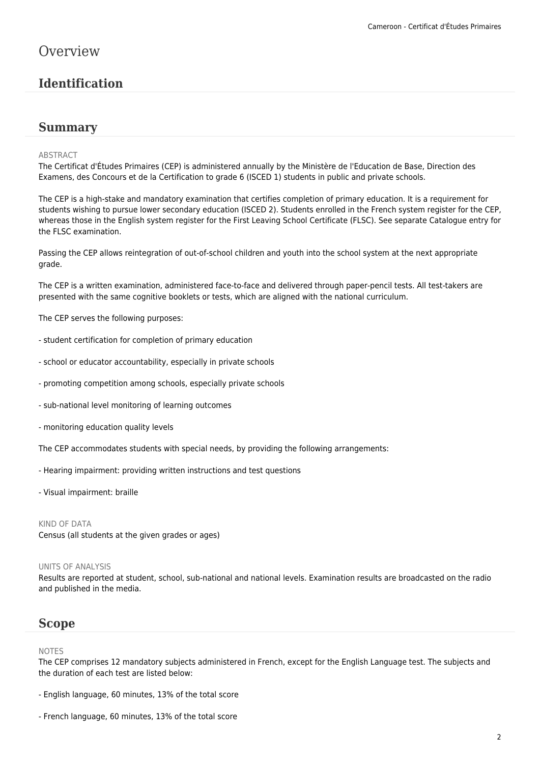### **Overview**

### **Identification**

### **Summary**

#### ABSTRACT

The Certificat d'Études Primaires (CEP) is administered annually by the Ministère de l'Education de Base, Direction des Examens, des Concours et de la Certification to grade 6 (ISCED 1) students in public and private schools.

The CEP is a high-stake and mandatory examination that certifies completion of primary education. It is a requirement for students wishing to pursue lower secondary education (ISCED 2). Students enrolled in the French system register for the CEP, whereas those in the English system register for the First Leaving School Certificate (FLSC). See separate Catalogue entry for the FLSC examination.

Passing the CEP allows reintegration of out-of-school children and youth into the school system at the next appropriate grade.

The CEP is a written examination, administered face-to-face and delivered through paper-pencil tests. All test-takers are presented with the same cognitive booklets or tests, which are aligned with the national curriculum.

The CEP serves the following purposes:

- student certification for completion of primary education
- school or educator accountability, especially in private schools
- promoting competition among schools, especially private schools
- sub-national level monitoring of learning outcomes
- monitoring education quality levels

The CEP accommodates students with special needs, by providing the following arrangements:

- Hearing impairment: providing written instructions and test questions
- Visual impairment: braille

#### KIND OF DATA

Census (all students at the given grades or ages)

#### UNITS OF ANALYSIS

Results are reported at student, school, sub-national and national levels. Examination results are broadcasted on the radio and published in the media.

### **Scope**

#### NOTES

The CEP comprises 12 mandatory subjects administered in French, except for the English Language test. The subjects and the duration of each test are listed below:

- English language, 60 minutes, 13% of the total score
- French language, 60 minutes, 13% of the total score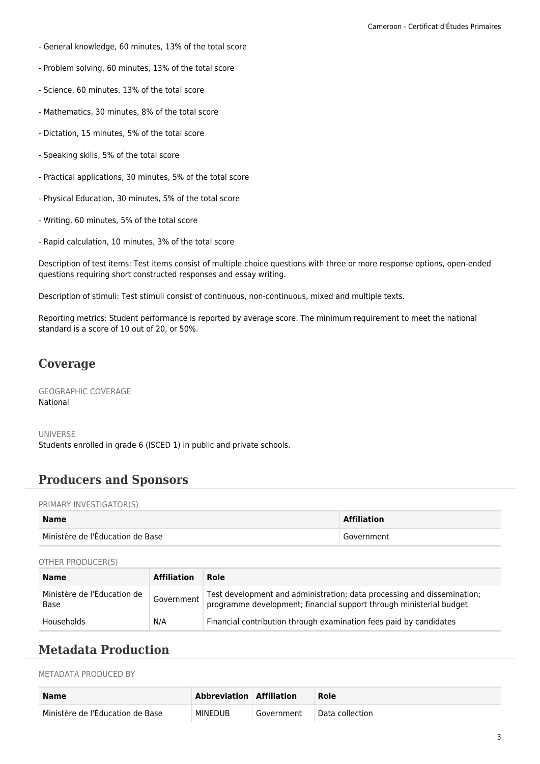- General knowledge, 60 minutes, 13% of the total score
- Problem solving, 60 minutes, 13% of the total score
- Science, 60 minutes, 13% of the total score
- Mathematics, 30 minutes, 8% of the total score
- Dictation, 15 minutes, 5% of the total score
- Speaking skills, 5% of the total score
- Practical applications, 30 minutes, 5% of the total score
- Physical Education, 30 minutes, 5% of the total score
- Writing, 60 minutes, 5% of the total score
- Rapid calculation, 10 minutes, 3% of the total score

Description of test items: Test items consist of multiple choice questions with three or more response options, open-ended questions requiring short constructed responses and essay writing.

Description of stimuli: Test stimuli consist of continuous, non-continuous, mixed and multiple texts.

Reporting metrics: Student performance is reported by average score. The minimum requirement to meet the national standard is a score of 10 out of 20, or 50%.

### **Coverage**

GEOGRAPHIC COVERAGE National

UNIVERSE Students enrolled in grade 6 (ISCED 1) in public and private schools.

### **Producers and Sponsors**

PRIMARY INVESTIGATOR(S)

| <b>Name</b>                      | <b>Affiliation</b> |
|----------------------------------|--------------------|
| Ministère de l'Éducation de Base | Government         |

#### OTHER PRODUCER(S)

| <b>Name</b>                         | <b>Affiliation</b> | Role                                                                                                                                           |
|-------------------------------------|--------------------|------------------------------------------------------------------------------------------------------------------------------------------------|
| Ministère de l'Éducation de<br>Base | Government         | Test development and administration; data processing and dissemination;<br>programme development; financial support through ministerial budget |
| Households                          | N/A                | Financial contribution through examination fees paid by candidates                                                                             |

### **Metadata Production**

METADATA PRODUCED BY

| <b>Name</b>                                 | Abbreviation Affiliation |            | Role            |
|---------------------------------------------|--------------------------|------------|-----------------|
| $^\dagger$ Ministère de l'Éducation de Base | <b>MINEDUB</b>           | Government | Data collection |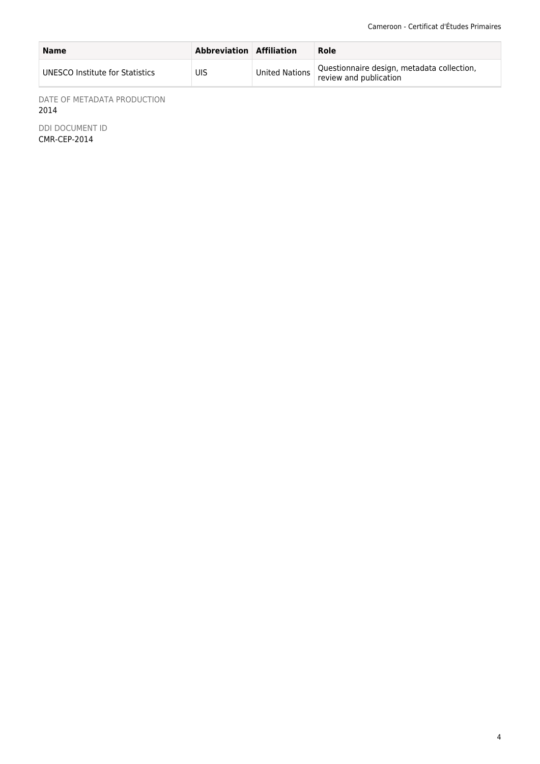| <b>Name</b>                     | <b>Abbreviation Affiliation</b> |                | Role                                                                 |
|---------------------------------|---------------------------------|----------------|----------------------------------------------------------------------|
| UNESCO Institute for Statistics | UIS                             | United Nations | Questionnaire design, metadata collection,<br>review and publication |

DATE OF METADATA PRODUCTION 2014

DDI DOCUMENT ID CMR-CEP-2014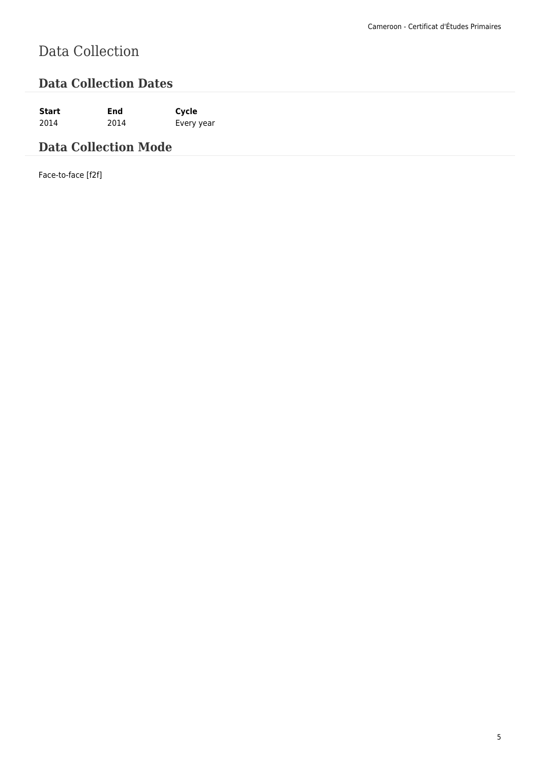# Data Collection

### **Data Collection Dates**

**Start End Cycle** 2014 2014 Every year

### **Data Collection Mode**

Face-to-face [f2f]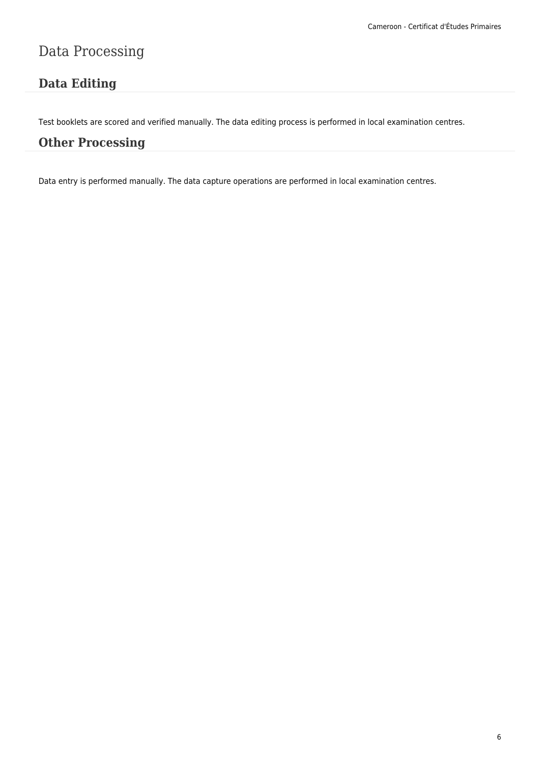## Data Processing

### **Data Editing**

Test booklets are scored and verified manually. The data editing process is performed in local examination centres.

### **Other Processing**

Data entry is performed manually. The data capture operations are performed in local examination centres.